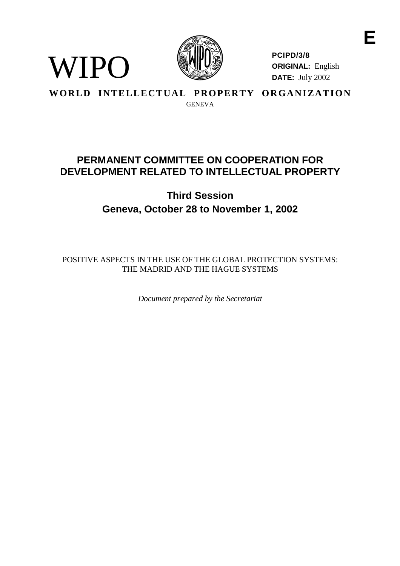

**PCIPD/3/8 ORIGINAL:** English **DATE:** July 2002

**E**

## **WORLD INTELLECTUAL PROPERTY ORGANIZATION** GENEVA

WIPO

## **PERMANENTCOMMITTEE ONCOOPERATIONFOR DEVELOPMENTRELATED TOINTELLECTUALPROP ERTY**

# **Third Session Geneva, October 28 to November 1, 2002**

POSITIVE ASPECTS IN THE USE OF THE GLOBAL PROTECTIONS YSTEMS: THE MADRIDANDTHEHAGUESYSTEMS

*Document prepared by the Secretariat*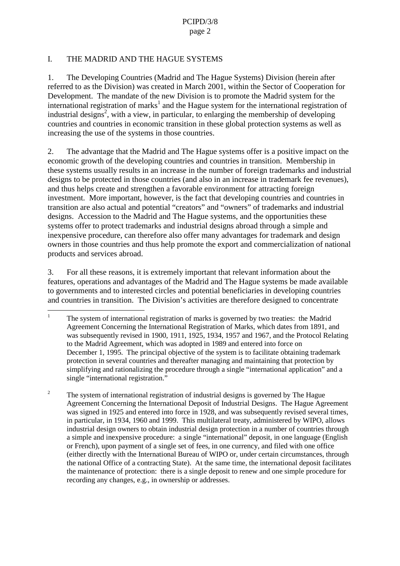### I. THEMADRIDANDTHEHAGUESYSTEMS

1. The Developing Countries (Madrid and The Hague Systems) Division (herein after referred to as the Division) was created in March 2001, within the Sector of Cooperation for Development. The mandate of the new Division is to promote the Madrid system for the international registration of marks  $1$  and the Haguesystem for the international registration of industrial designs<sup>2</sup>, with a view, in particular, to enlarging the membership of dev eloping countries and countries in economic transition in these global protection systems as well as increasing the use of the systems in those countries.

2. The advantage that the Madrid and The Hagues vstems offer is a positive impact on the economic gr owth of the developing countries and countries in transition. Membership in thesesystems usually results in an increase in the number of foreign trademarks and industrial designs to be protected in those countries (and also in an increase intrademark fe erevenues), and thus helps create and strengthen a favorable environment for attracting foreign investment. More important, however, is the fact that developing countries and countries in transition are also actual and potential "creators" and "owners" of trademarks and industrial designs. Accession to the Madrid and The Hague systems, and the opportunities these systems offe r to protect trademarks and industrial designs abroad through a simple and inexpensive procedure, can therefore also offer many adv antages for trademark and design owners in those countries and thus help promote the exportand commercialization of national products and services abr oad.

3. For all these reasons, it is extremely important that relevant information about the features, o perations and advantages of the Madrid and The Hague systems be made available to governments and to interested circles and potential beneficiaries indeveloping countries and countries in transition. The Division's activities are therefore designed to communitate incommunity of the Division's activities are therefore designed to community of the number of the Division's activities are the r

 $1$  The system of international registration of marks is governed by two treaties: the Madrid Agreement Concerning the International Registration of Marks, which dates from 1891, and was subsequently revised in 1900, 1911, 1925, 1934, 1957 and 1967, and the Protocol Relating to the Madrid Agreement, which w as adopted in 1989 and entered into force on December 1, 1995. The principal objective of the system is to facilitate obtaining trademark protection in several countries and thereafter managing and maintaining that protection by simplifying and rationaliz ing the procedure through a single "international application" and a single "international registration."

<sup>&</sup>lt;sup>2</sup> The system of international r egistration of industrial designs is governed by The Hague Agreement Concerning the International Deposit of Industrial Designs. The Hague Agreement was signed in 1925 and entered into force in 1928, and was subsequently revised several times, inparticul ar, in 1934, 1960 and 1999. This multilateral treaty, administered by WIPO, allows industrial designowners to obtain industrial design protection in a number of countries through asimple and inexpensive procedure: a single "international" deposit, in o ne language (English or French), upon payment of a single set of fees, in one currency, and filed with one of fice (either directly with the International Bureau of WIPO or, under certain circumstances, through the national Office of a contracting State). At the same time, the international deposit facilitates the maintenance of protection: the reisasingle deposit to renew and one simple procedure for recording any changes , e.g., in ownership or addresses.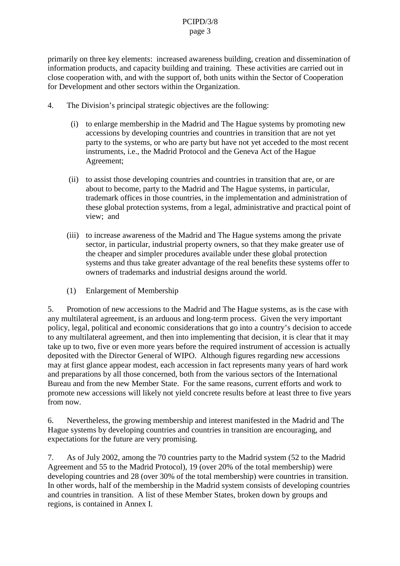#### PCIPD/3/8 page 3

primarily on three key elements: increased awareness building, creation and dissemination of information products, and capacity building and training. The seactivities are carried out in close cooperation with, and with the support of, both uni ts within the Sector of Cooperation for Development and other sectors within the Organization.

- 4. The Division's principal strategic objectives are the following:
	- (i) to enlarge membership in the Madrid and The Hague systems by promoting new accessions by developing countries and countries in transition that are not yet party to the systems, or who are party but have not yet acceded to the most recent instruments, i.e., the Madrid Protocol and the Geneva Act of the Hague Agreement;
	- (ii) to assist those developing countries and countries in transition that are, or are about to become, party to the Madrid and The Hagues vstems, in particular, trademark offices in those countries, in the implementation and administration of these global protections yste ms, from a legal, administrative and practical point of view; and
	- (iii) to increase awareness of the Madrid and The Hague systems among the private sector, in particular, industrial property owners, so that they make greater use of the cheaper and simple er procedures available under these global protection systems and thus take greater advantage of the real benefits these systems of fer to owners of trademarks and industrial designs around the world.
	- (1) Enlargement of Membership

5. Promotion of new acc essions to the Madrid and The Hague systems, as is the case with any multilateral agreement, is an arduous and long -term process. Given the very important policy, legal, political and economic considerations that go into a country colects ion to accede to any multilateral agreement, and then into implementing that decision, it is clear that it may take up to two, five or even more years before the required instrument of accession is actually deposited with the Director General of WIPO. Although figures reg arding new accessions may at first glance appear modest, each accession in fact represents many years of hard work and preparations by all those concerned, both from the various sectors of the International Bureau and from the new Member State. For the sa mereasons, current efforts and work to promotenew accessions will likely not yield concreteres ults before at least three to five years from now.

6. Nevertheless, the growing membership and interest manifested in the Madrid and The Haguesystems by deve loping countries and countries in transition are encouraging, and expectations for the future are very promising.

7. As of July 2002, among the 70 countries party to the Madrid system (52 to the Madrid Agreement and 55 to the Madrid Protocol), 19 (over 20 % of the total membership) were developing countries and  $28$  (over  $30\%$  of the total membership) were countries in transition. In other words, half of the membership in the Madrid system consists of developing countries and countries in transition. A list of these Member States, broken down by groups and regions, is contained in Annex I.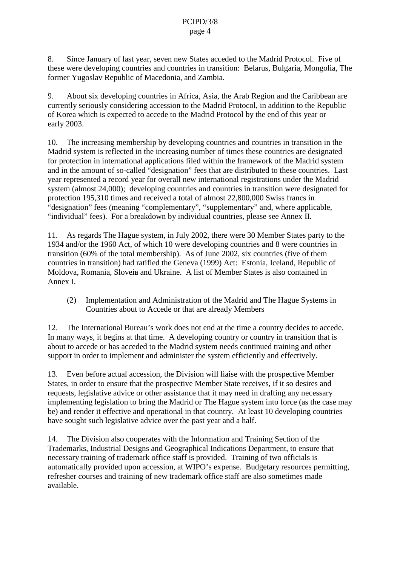8. Since January of last year, seven new States acceded to the Madrid Protocol. Five of these were developing countries and countries in transition: Belarus, Bulgaria, M ongolia, The former Yugoslav Republic of Macedonia, and Zambia.

9. About six developing countries in Africa, Asia, the Arab Region and the Caribbean are currently seriously considering accession to the Madrid Protocol, in addition to the Republic of Korea which is expected to accede to the Madrid Protocol by the end of this year or early 2003.

10. The increasing membership by developing countries and countries in transition in the Madrid system is reflected in the increasing number of times these countrie sare designated for protection in international applications filed within the framework of the Madrid system and in the amount of so -called "designation" fees that are distributed to these countries. Last year represented a record year for overall new in ternational registrations under the Madrid system (almost 24,000); developing countries and countries in transition were designated for protection 195,310 times and received a total of almost 22,800,000 Swiss francs in "designation" fees (meaning "complem entary", "supplementary" and, where applicable, "individual" fees). For a breakdown by individual countries, please see Annex II.

11. As regards The Hague system, in July 2002, there were 30 Member States party to the 1934 and/orthe 1960 Act, of which 1 0 were developing countries and 8 were countries in transition (60% of the total membership). As of June 2002, six countries (five of them countries in transition) hadratified the Geneva (1999) Act: Estonia, Iceland, Republic of Moldova, Romania, Slovemand Ukraine. A list of Member States is also contained in Annex I.

(2) Implementation and Administration of the Madrid and The Hague Systems in Countries about to Accede or that are already Members

12. The International Bureau's work does not end at the time a country decides to accede. In many ways, it begins at that time. A developing country or country in transition that is aboutto accedeor has acceded to the Madrid system needs continued training and other support in order to implement and adm inister the system efficiently and effectively.

13. Even before actual accession, the Division will liaise with the prospective Member States, in order to ensure that the prospective Member State receives, if its odesires and requests, legislative advice or other assistance that it may need in drafting any necessary implementing legislation to bring the Madrid or The Hagues y stem into force (as the case may be) and render it effective and operational in that country. At least 10 developing countries have sought such legislative advice over the past year and a half.

14. The Division also cooperates with the Information and Training Section of the Trademarks, Industrial Designs and Geographical Indications Department, to ensure that necessary training of t rademark of ficest aff is provided. Training of two officials is automatically provided upon accession, at WIPO's expense. Budgetary resources permitting, refresher courses and training of new trademark of fices taff are also sometimes made available.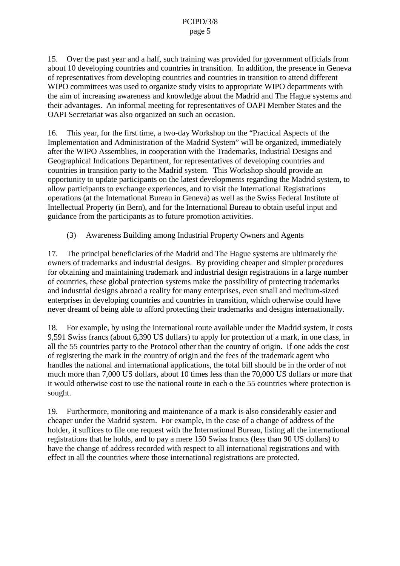#### PCIPD/3/8 page 5

15. Overthe past year and a half, such training was provided for government of ficials from about 10 developing countries and countries in transition. In addition, the presence in Geneva of representatives from developing countries and countries in transiti on to attend different WIPO committees was used to organize study visits to appropriate WIPO departments with the aim of increasing awareness and knowledge about the Madrid and The Hagues ystems and their advantages. An informal meeting for representative sof OAPIMember States and the OAPISecretariat was also organized on such an occasion.

16. This year, for the first time, at wo<br>day Workshop on the "Practical Aspects of the Implementation and Administration of the Madrid System" will be organized, imme diately after the WIPO Assemblies, in cooperation with the Trademarks, Industrial Designs and Geographical Indications Department, for representatives of developing countries and countries in transition party to the Madrid system. This Workshop should pro vide an opportunity to update participants on the latest developments regarding the Madrid system, to allow participants to exchange experiences, and to visit the International Registrations operations (at the International Bureau in Geneva) as well as the Swiss Federal Institute of Intellectual Property (in Bern), and for the International Bureau to obtain useful input and guidance from the participants as to future promotion activities.

(3) Awareness Building among Industrial Property Owners and Agents

17. The principal beneficiaries of the Madrid and The Hagues y stems are ultimately the owners of trademarks and industrial designs. By providing cheaper and simpler procedures for obtaining and maintaining trademark and industrial design registrations in a large number of countries, these global protection systems make the possibility of protecting trademarks and industrial designs abroad areality for many enterprises, even small and medium -sized enterprises indeveloping countries and countries in trans ition, which otherwise could have never dreamt of being able to afford protecting their trademarks and designs internationally.

18. For example, by using the international route available under the Madrid system, it costs 9,591 Swiss francs (about 6,390 U Sdollars) to apply for protection of a mark, in one class, in all the 55 countries party to the Protocol other than the country of origin. If one adds the cost of registering the mark in the country of origin and the fees of the trademark agent who handles the national and international applications, the total bill should be in the order of not much more than 7,000 US dollars, about 10 times less than the 70,000 US dollars or more that it would otherwise cost to use the national route in each othe 55 cou ntries where protection is sought.

19. Furthermore, monitoring and maintenance of a markisals oconsiderably easier and cheaper under the Madrid system. For example, in the case of a change of address of the holder, it suffices to file one request with the International Bureau, listing all the international registrations that he holds, and to pay a mere 150 Swiss francs (less than 90 US dollars) to have the change of address recorded with respect to all international registrations and with effectinall the countries where those international registrations are protected.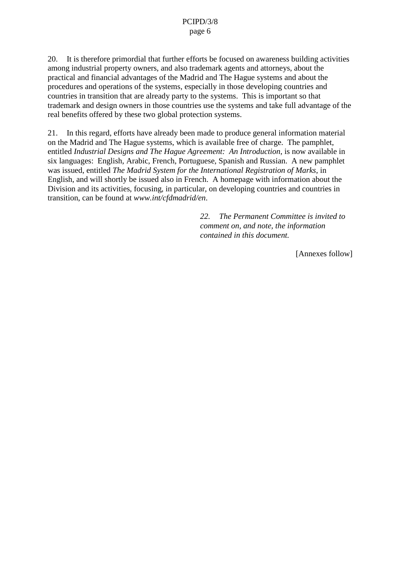#### PCIPD/3/8 page 6

20. Itistherefore primordial that further efforts be focused on awareness building activities among industrial property owners, and also trademark agents and attorneys, about the practical and financial advantages of the Madrid and The Hague systems and about the procedures and operations of the systems, especially in those developing countries and countries in transition that are already party to the systems. This is important so that the systems of the systems. This is important so that trademark and designowners in those countries use the systems and take full advantage of the real benefits offered by these two global protections y stems.

21. In this regard, efforts have already been made to produce general information material on the Madrid and The Haguesystems, which is available free of charge. The pamphlet, entitled *Industrial Designs and The Hague Agreement: An Introduction* , is now available in six languages: English, Arabic, French, Portuguese, Spanish and Russian. A new pam phlet was issued, entitled *The Madrid System for the International Registration of Marks* , in English, and will shortly be issued also in French. A homepage with information about the Division and its activities, focusing, in particular, on developing coun tries and countries in transition, can be found at *www.int/cfdmadrid/en*.

> 22. *The Permanent Committee is invited to comment on, and note, the information contained in this document.*

> > [Annexesfollow]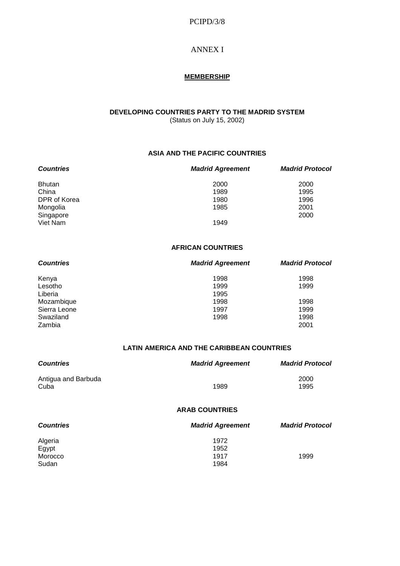#### PCIPD/3/8

#### **ANNEXI**

#### **MEMBERSHIP**

## **DEVELOPING COUNTRIES PARTY TO THE MADRID SYSTEM**

(Status on July 15, 2002)

#### **ASIA AND THE PACIFIC COUNTRIES**

| <b>Countries</b>  | <b>MadridAgreement</b> | <b>MadridProtocol</b> |
|-------------------|------------------------|-----------------------|
| <b>Bhutan</b>     | 2000                   | 2000                  |
| China             | 1989                   | 1995                  |
| <b>DPRofKorea</b> | 1980                   | 1996                  |
| Mongolia          | 1985                   | 2001                  |
| Singapore         |                        | 2000                  |
| VietNam           | 1949                   |                       |

#### **AFRICAN COUNTRIES**

| <b>Countries</b> | <b>MadridAgreement</b> | <b>MadridProtocol</b> |
|------------------|------------------------|-----------------------|
| Kenya            | 1998                   | 1998                  |
| Lesotho          | 1999                   | 1999                  |
| Liberia          | 1995                   |                       |
| Mozambique       | 1998                   | 1998                  |
| SierraLeone      | 1997                   | 1999                  |
| Swaziland        | 1998                   | 1998                  |
| Zambia           |                        | 2001                  |

#### **LATIN AMERICA AND THE CARIBBE AN COUNTRIES**

| <b>Countries</b>          | <b>MadridAgreement</b> | <b>MadridProtocol</b> |
|---------------------------|------------------------|-----------------------|
| AntiguaandBarbuda<br>Cuba | 1989                   | 2000<br>1995          |
|                           | <b>ARABCOUNTRIES</b>   |                       |

| <b>Countries</b> | <b>MadridAgreement</b> | <b>MadridProtocol</b> |
|------------------|------------------------|-----------------------|
| Algeria          | 1972                   |                       |
| Egypt            | 1952                   |                       |
| Morocco          | 1917                   | 1999                  |
| Sudan            | 1984                   |                       |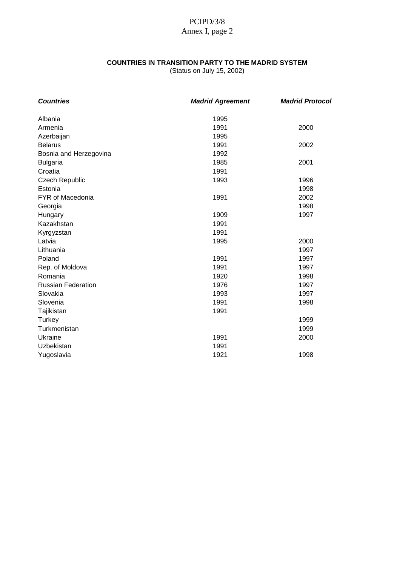## PCIPD/3/8 Annex I, page 2

### **COUNTRIES IN TRANSIT ION PARTY TO THE MADRID SYSTEM**

(Status on July 15, 2002)

| <b>Countries</b>     | <b>MadridAgreement</b> | <b>MadridProtocol</b> |
|----------------------|------------------------|-----------------------|
| Albania              | 1995                   |                       |
| Armenia              | 1991                   | 2000                  |
| Azerbaijan           | 1995                   |                       |
| <b>Belarus</b>       | 1991                   | 2002                  |
| BosniaandHerzegovina | 1992                   |                       |
| <b>Bulgaria</b>      | 1985                   | 2001                  |
| Croatia              | 1991                   |                       |
| CzechRepubl ic       | 1993                   | 1996                  |
| Estonia              |                        | 1998                  |
| FYRofMacedonia       | 1991                   | 2002                  |
| Georgia              |                        | 1998                  |
| Hungary              | 1909                   | 1997                  |
| Kazakhstan           | 1991                   |                       |
| Kyrgyzstan           | 1991                   |                       |
| Latvia               | 1995                   | 2000                  |
| Lithuania            |                        | 1997                  |
| Poland               | 1991                   | 1997                  |
| Rep.ofMoldova        | 1991                   | 1997                  |
| Romania              | 1920                   | 1998                  |
| RussianFederation    | 1976                   | 1997                  |
| Slovakia             | 1993                   | 1997                  |
| Slovenia             | 1991                   | 1998                  |
| Tajikistan           | 1991                   |                       |
| <b>Turkey</b>        |                        | 1999                  |
| Turkmenistan         |                        | 1999                  |
| Ukraine              | 1991                   | 2000                  |
| Uzbekistan           | 1991                   |                       |
| Yugoslavia           | 1921                   | 1998                  |